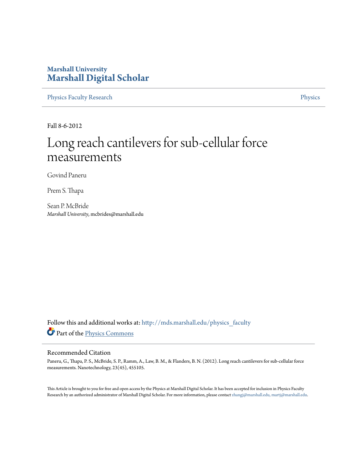## **Marshall University [Marshall Digital Scholar](http://mds.marshall.edu?utm_source=mds.marshall.edu%2Fphysics_faculty%2F52&utm_medium=PDF&utm_campaign=PDFCoverPages)**

[Physics Faculty Research](http://mds.marshall.edu/physics_faculty?utm_source=mds.marshall.edu%2Fphysics_faculty%2F52&utm_medium=PDF&utm_campaign=PDFCoverPages) **[Physics](http://mds.marshall.edu/physics?utm_source=mds.marshall.edu%2Fphysics_faculty%2F52&utm_medium=PDF&utm_campaign=PDFCoverPages)** 

Fall 8-6-2012

# Long reach cantilevers for sub-cellular force measurements

Govind Paneru

Prem S. Thapa

Sean P. McBride *Marshall University*, mcbrides@marshall.edu

Follow this and additional works at: [http://mds.marshall.edu/physics\\_faculty](http://mds.marshall.edu/physics_faculty?utm_source=mds.marshall.edu%2Fphysics_faculty%2F52&utm_medium=PDF&utm_campaign=PDFCoverPages) Part of the [Physics Commons](http://network.bepress.com/hgg/discipline/193?utm_source=mds.marshall.edu%2Fphysics_faculty%2F52&utm_medium=PDF&utm_campaign=PDFCoverPages)

#### Recommended Citation

Paneru, G., Thapa, P. S., McBride, S. P., Ramm, A., Law, B. M., & Flanders, B. N. (2012). Long reach cantilevers for sub-cellular force measurements. Nanotechnology, 23(45), 455105.

This Article is brought to you for free and open access by the Physics at Marshall Digital Scholar. It has been accepted for inclusion in Physics Faculty Research by an authorized administrator of Marshall Digital Scholar. For more information, please contact [zhangj@marshall.edu, martj@marshall.edu.](mailto:zhangj@marshall.edu,%20martj@marshall.edu)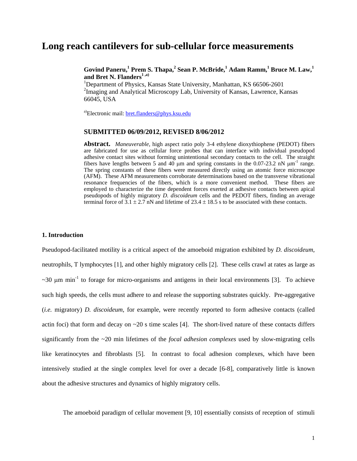## **Long reach cantilevers for sub-cellular force measurements**

**Govind Paneru,<sup>1</sup> Prem S. Thapa,<sup>2</sup> Sean P. McBride,<sup>1</sup> Adam Ramm,<sup>1</sup> Bruce M. Law,<sup>1</sup>** and Bret N. Flanders<sup>1,a)</sup>

<sup>1</sup>Department of Physics, Kansas State University, Manhattan, KS 66506-2601 <sup>2</sup>Imaging and Analytical Microscopy Lab, University of Kansas, Lawrence, Kansas 66045, USA

a)Electronic mail: bret.flanders@phys.ksu.edu

### **SUBMITTED 06/09/2012, REVISED 8/06/2012**

**Abstract.** *Maneuverable*, high aspect ratio poly 3-4 ethylene dioxythiophene (PEDOT) fibers are fabricated for use as cellular force probes that can interface with individual pseudopod adhesive contact sites without forming unintentional secondary contacts to the cell. The straight fibers have lengths between 5 and 40  $\mu$ m and spring constants in the 0.07-23.2 nN  $\mu$ m<sup>-1</sup> range. The spring constants of these fibers were measured directly using an atomic force microscope (AFM). These AFM measurements corroborate determinations based on the transverse vibrational resonance frequencies of the fibers, which is a more convenient method. These fibers are employed to characterize the time dependent forces exerted at adhesive contacts between apical pseudopods of highly migratory *D. discoideum* cells and the PEDOT fibers, finding an average terminal force of  $3.1 \pm 2.7$  nN and lifetime of  $23.4 \pm 18.5$  s to be associated with these contacts.

#### **1. Introduction**

Pseudopod-facilitated motility is a critical aspect of the amoeboid migration exhibited by *D. discoideum*, neutrophils, T lymphocytes [1], and other highly migratory cells [2]. These cells crawl at rates as large as  $\sim$ 30  $\mu$ m min<sup>-1</sup> to forage for micro-organisms and antigens in their local environments [3]. To achieve such high speeds, the cells must adhere to and release the supporting substrates quickly. Pre-aggregative (*i.e.* migratory) *D. discoideum*, for example, were recently reported to form adhesive contacts (called actin foci) that form and decay on  $\sim$ 20 s time scales [4]. The short-lived nature of these contacts differs significantly from the ~20 min lifetimes of the *focal adhesion complexes* used by slow-migrating cells like keratinocytes and fibroblasts [5]. In contrast to focal adhesion complexes, which have been intensively studied at the single complex level for over a decade [6-8], comparatively little is known about the adhesive structures and dynamics of highly migratory cells.

The amoeboid paradigm of cellular movement [9, 10] essentially consists of reception of stimuli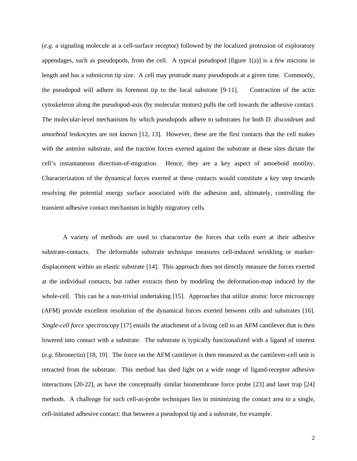(*e.g.* a signaling molecule at a cell-surface receptor) followed by the localized protrusion of exploratory appendages, such as pseudopods, from the cell. A typical pseudopod [figure  $1(a)$ ] is a few microns in length and has a submicron tip size. A cell may protrude many pseudopods at a given time. Commonly, the pseudopod will adhere its foremost tip to the local substrate [9-11]. Contraction of the actin cytoskeleton along the pseudopod-axis (by molecular motors) pulls the cell towards the adhesive contact. The molecular-level mechanisms by which pseudopods adhere to substrates for both *D. discoideum* and *amoeboid* leukocytes are not known [12, 13]. However, these are the first contacts that the cell makes with the anterior substrate, and the traction forces exerted against the substrate at these sites dictate the cell's instantaneous direction-of-migration. Hence, they are a key aspect of amoeboid motility. Characterization of the dynamical forces exerted at these contacts would constitute a key step towards resolving the potential energy surface associated with the adhesion and, ultimately, controlling the transient adhesive contact mechanism in highly migratory cells.

A variety of methods are used to characterize the forces that cells exert at their adhesive substrate-contacts. The deformable substrate technique measures cell-induced wrinkling or markerdisplacement within an elastic substrate [14]. This approach does not directly measure the forces exerted at the individual contacts, but rather extracts them by modeling the deformation-map induced by the whole-cell. This can be a non-trivial undertaking [15]. Approaches that utilize atomic force microscopy (AFM) provide excellent resolution of the dynamical forces exerted between cells and substrates [16]. *Single-cell force spectroscopy* [17] entails the attachment of a living cell to an AFM cantilever that is then lowered into contact with a substrate. The substrate is typically functionalized with a ligand of interest (*e.g.* fibronectin) [18, 19]. The force on the AFM cantilever is then measured as the cantilever-cell unit is retracted from the substrate. This method has shed light on a wide range of ligand-receptor adhesive interactions [20-22], as have the conceptually similar biomembrane force probe [23] and laser trap [24] methods. A challenge for such cell-as-probe techniques lies in minimizing the contact area to a single, cell-initiated adhesive contact: that between a pseudopod tip and a substrate, for example.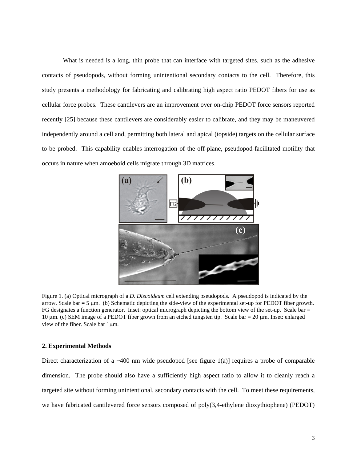What is needed is a long, thin probe that can interface with targeted sites, such as the adhesive contacts of pseudopods, without forming unintentional secondary contacts to the cell. Therefore, this study presents a methodology for fabricating and calibrating high aspect ratio PEDOT fibers for use as cellular force probes. These cantilevers are an improvement over on-chip PEDOT force sensors reported recently [25] because these cantilevers are considerably easier to calibrate, and they may be maneuvered independently around a cell and, permitting both lateral and apical (topside) targets on the cellular surface to be probed. This capability enables interrogation of the off-plane, pseudopod-facilitated motility that occurs in nature when amoeboid cells migrate through 3D matrices.



Figure 1. (a) Optical micrograph of a *D. Discoideum* cell extending pseudopods. A pseudopod is indicated by the arrow. Scale bar  $= 5 \mu m$ . (b) Schematic depicting the side-view of the experimental set-up for PEDOT fiber growth. FG designates a function generator. Inset: optical micrograph depicting the bottom view of the set-up. Scale bar = 10  $\mu$ m. (c) SEM image of a PEDOT fiber grown from an etched tungsten tip. Scale bar = 20  $\mu$ m. Inset: enlarged view of the fiber. Scale bar 1µm.

#### **2. Experimental Methods**

Direct characterization of a  $\sim$ 400 nm wide pseudopod [see figure 1(a)] requires a probe of comparable dimension. The probe should also have a sufficiently high aspect ratio to allow it to cleanly reach a targeted site without forming unintentional, secondary contacts with the cell. To meet these requirements, we have fabricated cantilevered force sensors composed of poly(3,4-ethylene dioxythiophene) (PEDOT)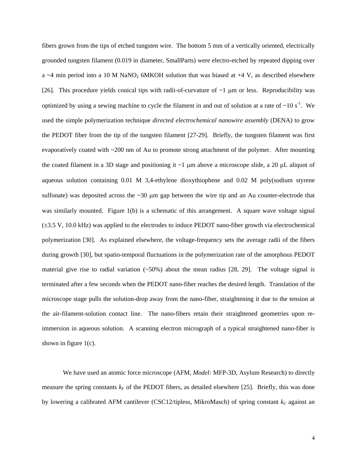fibers grown from the tips of etched tungsten wire. The bottom 5 mm of a vertically oriented, electrically grounded tungsten filament (0.019 in diameter, SmallParts) were electro-etched by repeated dipping over a  $\sim$ 4 min period into a 10 M NaNO<sub>2</sub> 6MKOH solution that was biased at  $+4$  V, as described elsewhere [26]. This procedure yields conical tips with radii-of-curvature of  $\sim$ 1  $\mu$ m or less. Reproducibility was optimized by using a sewing machine to cycle the filament in and out of solution at a rate of  $\sim 10 s^{-1}$ . We used the simple polymerization technique *directed electrochemical nanowire assembly* (DENA) to grow the PEDOT fiber from the tip of the tungsten filament [27-29]. Briefly, the tungsten filament was first evaporatively coated with ~200 nm of Au to promote strong attachment of the polymer. After mounting the coated filament in a 3D stage and positioning it  $\sim$ 1 µm above a microscope slide, a 20 µL aliquot of aqueous solution containing 0.01 M 3,4-ethylene dioxythiophene and 0.02 M poly(sodium styrene sulfonate) was deposited across the  $\sim$ 30  $\mu$ m gap between the wire tip and an Au counter-electrode that was similarly mounted. Figure 1(b) is a schematic of this arrangement. A square wave voltage signal (±3.5 V, 10.0 kHz) was applied to the electrodes to induce PEDOT nano-fiber growth via electrochemical polymerization [30]. As explained elsewhere, the voltage-frequency sets the average radii of the fibers during growth [30], but spatio-temporal fluctuations in the polymerization rate of the amorphous PEDOT material give rise to radial variation  $(-50\%)$  about the mean radius [28, 29]. The voltage signal is terminated after a few seconds when the PEDOT nano-fiber reaches the desired length. Translation of the microscope stage pulls the solution-drop away from the nano-fiber, straightening it due to the tension at the air-filament-solution contact line. The nano-fibers retain their straightened geometries upon reimmersion in aqueous solution. A scanning electron micrograph of a typical straightened nano-fiber is shown in figure  $1(c)$ .

We have used an atomic force microscope (AFM, *Model:* MFP-3D, Asylum Research) to directly measure the spring constants  $k_F$  of the PEDOT fibers, as detailed elsewhere [25]. Briefly, this was done by lowering a calibrated AFM cantilever (CSC12/tipless, MikroMasch) of spring constant  $k_c$  against an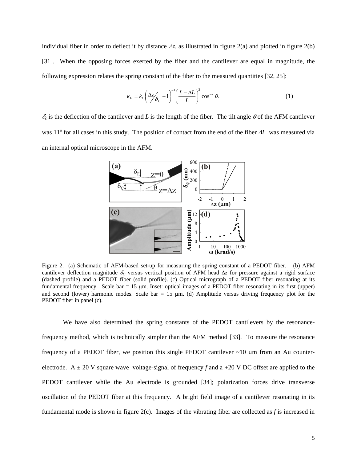individual fiber in order to deflect it by distance  $\Delta z$ , as illustrated in figure 2(a) and plotted in figure 2(b) [31]. When the opposing forces exerted by the fiber and the cantilever are equal in magnitude, the following expression relates the spring constant of the fiber to the measured quantities [32, 25]:

$$
k_F = k_C \left(\frac{\Delta z}{\delta_C} - 1\right)^{-1} \left(\frac{L - \Delta L}{L}\right)^3 \cos^{-2} \theta. \tag{1}
$$

 $\delta_c$  is the deflection of the cantilever and *L* is the length of the fiber. The tilt angle  $\theta$  of the AFM cantilever was  $11^{\circ}$  for all cases in this study. The position of contact from the end of the fiber  $\Delta L$  was measured via an internal optical microscope in the AFM.



Figure 2. (a) Schematic of AFM-based set-up for measuring the spring constant of a PEDOT fiber. (b) AFM cantilever deflection magnitude  $\delta_c$  versus vertical position of AFM head  $\Delta z$  for pressure against a rigid surface (dashed profile) and a PEDOT fiber (solid profile). (c) Optical micrograph of a PEDOT fiber resonating at its fundamental frequency. Scale bar =  $15 \mu m$ . Inset: optical images of a PEDOT fiber resonating in its first (upper) and second (lower) harmonic modes. Scale bar  $= 15$  µm. (d) Amplitude versus driving frequency plot for the PEDOT fiber in panel (c).

 We have also determined the spring constants of the PEDOT cantilevers by the resonancefrequency method, which is technically simpler than the AFM method [33]. To measure the resonance frequency of a PEDOT fiber, we position this single PEDOT cantilever  $\sim$ 10  $\mu$ m from an Au counterelectrode.  $A \pm 20$  V square wave voltage-signal of frequency f and a +20 V DC offset are applied to the PEDOT cantilever while the Au electrode is grounded [34]; polarization forces drive transverse oscillation of the PEDOT fiber at this frequency. A bright field image of a cantilever resonating in its fundamental mode is shown in figure 2(c). Images of the vibrating fiber are collected as *f* is increased in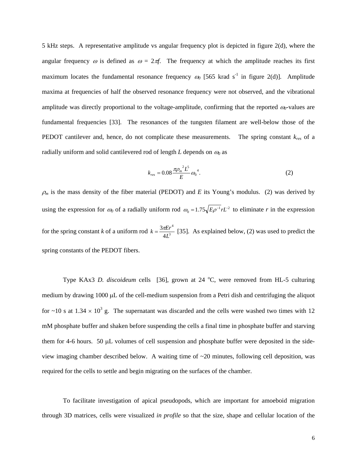5 kHz steps. A representative amplitude vs angular frequency plot is depicted in figure 2(d), where the angular frequency  $\omega$  is defined as  $\omega = 2\pi f$ . The frequency at which the amplitude reaches its first maximum locates the fundamental resonance frequency  $\omega_0$  [565 krad s<sup>-1</sup> in figure 2(d)]. Amplitude maxima at frequencies of half the observed resonance frequency were not observed, and the vibrational amplitude was directly proportional to the voltage-amplitude, confirming that the reported  $\omega_0$ -values are fundamental frequencies [33]. The resonances of the tungsten filament are well-below those of the PEDOT cantilever and, hence, do not complicate these measurements. The spring constant *kres* of a radially uniform and solid cantilevered rod of length *L* depends on  $\omega_0$  as

$$
k_{res} = 0.08 \frac{\pi \rho_m^2 L^5}{E} \omega_0^4. \tag{2}
$$

 $\rho_m$  is the mass density of the fiber material (PEDOT) and *E* its Young's modulus. (2) was derived by using the expression for  $\omega_0$  of a radially uniform rod  $\omega_0 = 1.75 \sqrt{E\rho^{-1} r L^{-2}}$  to eliminate *r* in the expression for the spring constant *k* of a uniform rod  $k = \frac{3\pi E r^4}{4I^3}$ 4 3  $k = \frac{3\pi E r^4}{4L^3}$  [35]. As explained below, (2) was used to predict the spring constants of the PEDOT fibers.

Type KAx3 *D. discoideum* cells [36], grown at 24 °C, were removed from HL-5 culturing medium by drawing  $1000 \mu L$  of the cell-medium suspension from a Petri dish and centrifuging the aliquot for  $\sim$ 10 s at 1.34  $\times$  10<sup>3</sup> g. The supernatant was discarded and the cells were washed two times with 12 mM phosphate buffer and shaken before suspending the cells a final time in phosphate buffer and starving them for 4-6 hours. 50  $\mu$ L volumes of cell suspension and phosphate buffer were deposited in the sideview imaging chamber described below. A waiting time of  $\sim$ 20 minutes, following cell deposition, was required for the cells to settle and begin migrating on the surfaces of the chamber.

To facilitate investigation of apical pseudopods, which are important for amoeboid migration through 3D matrices, cells were visualized *in profile* so that the size, shape and cellular location of the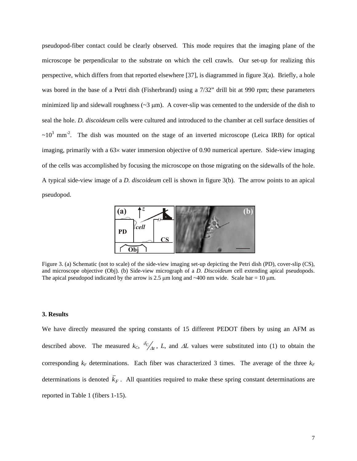pseudopod-fiber contact could be clearly observed. This mode requires that the imaging plane of the microscope be perpendicular to the substrate on which the cell crawls. Our set-up for realizing this perspective, which differs from that reported elsewhere [37], is diagrammed in figure 3(a). Briefly, a hole was bored in the base of a Petri dish (Fisherbrand) using a 7/32" drill bit at 990 rpm; these parameters minimized lip and sidewall roughness ( $\sim$ 3  $\mu$ m). A cover-slip was cemented to the underside of the dish to seal the hole. *D. discoideum* cells were cultured and introduced to the chamber at cell surface densities of  $\sim 10^3$  mm<sup>-2</sup>. The dish was mounted on the stage of an inverted microscope (Leica IRB) for optical imaging, primarily with a 63x water immersion objective of 0.90 numerical aperture. Side-view imaging of the cells was accomplished by focusing the microscope on those migrating on the sidewalls of the hole. A typical side-view image of a *D. discoideum* cell is shown in figure 3(b). The arrow points to an apical pseudopod.



Figure 3. (a) Schematic (not to scale) of the side-view imaging set-up depicting the Petri dish (PD), cover-slip (CS), and microscope objective (Obj). (b) Side-view micrograph of a *D. Discoideum* cell extending apical pseudopods. The apical pseudopod indicated by the arrow is 2.5  $\mu$ m long and ~400 nm wide. Scale bar = 10  $\mu$ m.

#### **3. Results**

We have directly measured the spring constants of 15 different PEDOT fibers by using an AFM as described above. The measured  $k_C$ ,  $\frac{\delta c}{\Delta z}$ , *L*, and  $\Delta L$  values were substituted into (1) to obtain the corresponding  $k_F$  determinations. Each fiber was characterized 3 times. The average of the three  $k_F$ determinations is denoted  $\overline{k}_F$ . All quantities required to make these spring constant determinations are reported in Table 1 (fibers 1-15).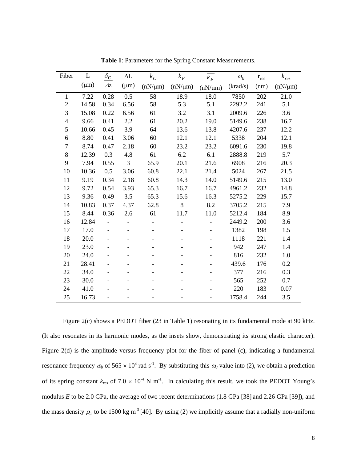| Fiber          | L         | $\delta_{\rm C}$ | $\Delta L$ | $k_C$        | $k_F$        | $k_F$        | $\omega_0$ | $r_{res}$ | $k_{res}$    |
|----------------|-----------|------------------|------------|--------------|--------------|--------------|------------|-----------|--------------|
|                | $(\mu m)$ | $\varDelta z$    | $(\mu m)$  | $(nN/\mu m)$ | $(nN/\mu m)$ | $(nN/\mu m)$ | (krad/s)   | (nm)      | $(nN/\mu m)$ |
| $\mathbf{1}$   | 7.22      | 0.28             | 0.5        | 58           | 18.9         | 18.0         | 7850       | 202       | 21.0         |
| $\overline{2}$ | 14.58     | 0.34             | 6.56       | 58           | 5.3          | 5.1          | 2292.2     | 241       | 5.1          |
| 3              | 15.08     | 0.22             | 6.56       | 61           | 3.2          | 3.1          | 2009.6     | 226       | 3.6          |
| $\overline{4}$ | 9.66      | 0.41             | 2.2        | 61           | 20.2         | 19.0         | 5149.6     | 238       | 16.7         |
| 5              | 10.66     | 0.45             | 3.9        | 64           | 13.6         | 13.8         | 4207.6     | 237       | 12.2         |
| 6              | 8.80      | 0.41             | 3.06       | 60           | 12.1         | 12.1         | 5338       | 204       | 12.1         |
| $\tau$         | 8.74      | 0.47             | 2.18       | 60           | 23.2         | 23.2         | 6091.6     | 230       | 19.8         |
| 8              | 12.39     | 0.3              | 4.8        | 61           | 6.2          | 6.1          | 2888.8     | 219       | 5.7          |
| 9              | 7.94      | 0.55             | 3          | 65.9         | 20.1         | 21.6         | 6908       | 216       | 20.3         |
| 10             | 10.36     | 0.5              | 3.06       | 60.8         | 22.1         | 21.4         | 5024       | 267       | 21.5         |
| 11             | 9.19      | 0.34             | 2.18       | 60.8         | 14.3         | 14.0         | 5149.6     | 215       | 13.0         |
| 12             | 9.72      | 0.54             | 3.93       | 65.3         | 16.7         | 16.7         | 4961.2     | 232       | 14.8         |
| 13             | 9.36      | 0.49             | 3.5        | 65.3         | 15.6         | 16.3         | 5275.2     | 229       | 15.7         |
| 14             | 10.83     | 0.37             | 4.37       | 62.8         | 8            | 8.2          | 3705.2     | 215       | 7.9          |
| 15             | 8.44      | 0.36             | 2.6        | 61           | 11.7         | 11.0         | 5212.4     | 184       | 8.9          |
| 16             | 12.84     |                  |            |              |              |              | 2449.2     | 200       | 3.6          |
| 17             | 17.0      |                  |            |              |              |              | 1382       | 198       | 1.5          |
| 18             | 20.0      |                  |            |              |              |              | 1118       | 221       | 1.4          |
| 19             | 23.0      |                  |            |              |              |              | 942        | 247       | 1.4          |
| 20             | 24.0      |                  |            |              |              |              | 816        | 232       | 1.0          |
| 21             | 28.41     |                  |            |              |              |              | 439.6      | 176       | 0.2          |
| 22             | 34.0      |                  |            |              |              |              | 377        | 216       | 0.3          |
| 23             | 30.0      |                  |            |              |              |              | 565        | 252       | 0.7          |
| 24             | 41.0      |                  |            |              |              |              | 220        | 183       | 0.07         |
| 25             | 16.73     |                  |            |              |              |              | 1758.4     | 244       | 3.5          |

**Table 1**: Parameters for the Spring Constant Measurements.

Figure 2(c) shows a PEDOT fiber (23 in Table 1) resonating in its fundamental mode at 90 kHz. (It also resonates in its harmonic modes, as the insets show, demonstrating its strong elastic character). Figure 2(d) is the amplitude versus frequency plot for the fiber of panel (c), indicating a fundamental resonance frequency  $\omega_0$  of 565  $\times$  10<sup>3</sup> rad s<sup>-1</sup>. By substituting this  $\omega_0$  value into (2), we obtain a prediction of its spring constant  $k_{res}$  of  $7.0 \times 10^{-4}$  N m<sup>-1</sup>. In calculating this result, we took the PEDOT Young's modulus *E* to be 2.0 GPa, the average of two recent determinations (1.8 GPa [38] and 2.26 GPa [39]), and the mass density  $\rho_m$  to be 1500 kg m<sup>-3</sup> [40]. By using (2) we implicitly assume that a radially non-uniform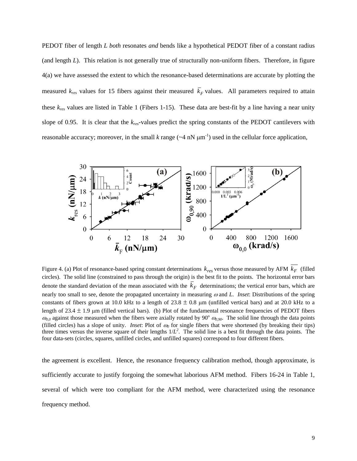PEDOT fiber of length *L both* resonates *and* bends like a hypothetical PEDOT fiber of a constant radius (and length *L*). This relation is not generally true of structurally non-uniform fibers. Therefore, in figure 4(a) we have assessed the extent to which the resonance-based determinations are accurate by plotting the measured  $k_{res}$  values for 15 fibers against their measured  $\bar{k}_F$  values. All parameters required to attain these *kres* values are listed in Table 1 (Fibers 1-15). These data are best-fit by a line having a near unity slope of 0.95. It is clear that the *kres*-values predict the spring constants of the PEDOT cantilevers with reasonable accuracy; moreover, in the small  $k$  range ( $\sim$ 4 nN  $\mu$ m<sup>-1</sup>) used in the cellular force application,



Figure 4. (a) Plot of resonance-based spring constant determinations  $k_{res}$  versus those measured by AFM  $\overline{k_F}$  (filled circles). The solid line (constrained to pass through the origin) is the best fit to the points. The horizontal error bars denote the standard deviation of the mean associated with the  $k_F$  determinations; the vertical error bars, which are nearly too small to see, denote the propagated uncertainty in measuring  $\omega$  and  $L$ . *Inset*: Distributions of the spring constants of fibers grown at 10.0 kHz to a length of  $23.8 \pm 0.8$  µm (unfilled vertical bars) and at 20.0 kHz to a length of 23.4  $\pm$  1.9 µm (filled vertical bars). (b) Plot of the fundamental resonance frequencies of PEDOT fibers  $\omega_{0,0}$  against those measured when the fibers were axially rotated by 90°  $\omega_{0.90}$ . The solid line through the data points (filled circles) has a slope of unity. *Inset*: Plot of  $\omega_0$  for single fibers that were shortened (by breaking their tips) three times versus the inverse square of their lengths  $1/L^2$ . The solid line is a best fit through the data points. The four data-sets (circles, squares, unfilled circles, and unfilled squares) correspond to four different fibers.

the agreement is excellent. Hence, the resonance frequency calibration method, though approximate, is sufficiently accurate to justify forgoing the somewhat laborious AFM method. Fibers 16-24 in Table 1, several of which were too compliant for the AFM method, were characterized using the resonance frequency method.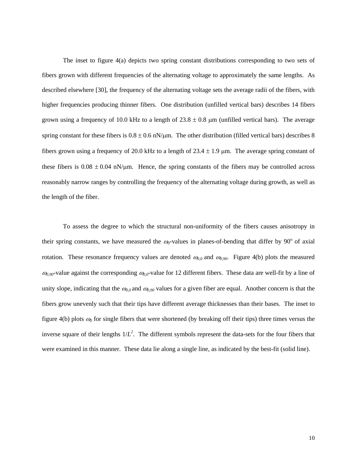The inset to figure 4(a) depicts two spring constant distributions corresponding to two sets of fibers grown with different frequencies of the alternating voltage to approximately the same lengths. As described elsewhere [30], the frequency of the alternating voltage sets the average radii of the fibers, with higher frequencies producing thinner fibers. One distribution (unfilled vertical bars) describes 14 fibers grown using a frequency of 10.0 kHz to a length of  $23.8 \pm 0.8$  µm (unfilled vertical bars). The average spring constant for these fibers is  $0.8 \pm 0.6$  nN/ $\mu$ m. The other distribution (filled vertical bars) describes 8 fibers grown using a frequency of 20.0 kHz to a length of  $23.4 \pm 1.9$  µm. The average spring constant of these fibers is  $0.08 \pm 0.04$  nN/ $\mu$ m. Hence, the spring constants of the fibers may be controlled across reasonably narrow ranges by controlling the frequency of the alternating voltage during growth, as well as the length of the fiber.

To assess the degree to which the structural non-uniformity of the fibers causes anisotropy in their spring constants, we have measured the  $\omega_0$ -values in planes-of-bending that differ by 90 $^{\circ}$  of axial rotation. These resonance frequency values are denoted  $\omega_{0,0}$  and  $\omega_{0,90}$ . Figure 4(b) plots the measured  $\omega_{0.90}$ -value against the corresponding  $\omega_{0.0}$ -value for 12 different fibers. These data are well-fit by a line of unity slope, indicating that the  $\omega_{0,0}$  and  $\omega_{0,90}$  values for a given fiber are equal. Another concern is that the fibers grow unevenly such that their tips have different average thicknesses than their bases. The inset to figure 4(b) plots  $\omega_0$  for single fibers that were shortened (by breaking off their tips) three times versus the inverse square of their lengths  $1/L^2$ . The different symbols represent the data-sets for the four fibers that were examined in this manner. These data lie along a single line, as indicated by the best-fit (solid line).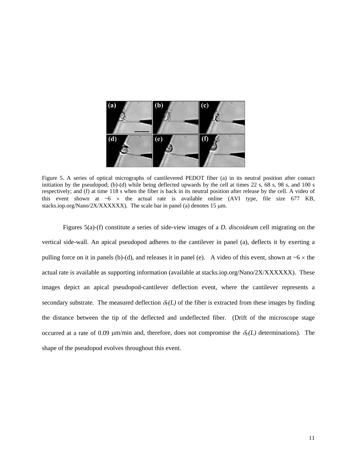

Figure 5. A series of optical micrographs of cantilevered PEDOT fiber (a) in its neutral position after contact initiation by the pseudopod; (b)-(d) while being deflected upwards by the cell at times  $22 \text{ s}$ ,  $68 \text{ s}$ ,  $98 \text{ s}$ , and  $100 \text{ s}$ respectively; and (f) at time 118 s when the fiber is back in its neutral position after release by the cell. A video of this event shown at  $\sim$ 6  $\times$  the actual rate is available online (AVI type, file size 677 KB, stacks.iop.org/Nano/2X/XXXXXX). The scale bar in panel (a) denotes 15  $\mu$ m.

Figures 5(a)-(f) constitute a series of side-view images of a *D. discoideum* cell migrating on the vertical side-wall. An apical pseudopod adheres to the cantilever in panel (a), deflects it by exerting a pulling force on it in panels (b)-(d), and releases it in panel (e). A video of this event, shown at  $\sim 6 \times$  the actual rate is available as supporting information (available at stacks.iop.org/Nano/2X/XXXXXX). These images depict an apical pseudopod-cantilever deflection event, where the cantilever represents a secondary substrate. The measured deflection  $\delta_F(L)$  of the fiber is extracted from these images by finding the distance between the tip of the deflected and undeflected fiber. (Drift of the microscope stage occurred at a rate of 0.09  $\mu$ m/min and, therefore, does not compromise the  $\delta_F(L)$  determinations). The shape of the pseudopod evolves throughout this event.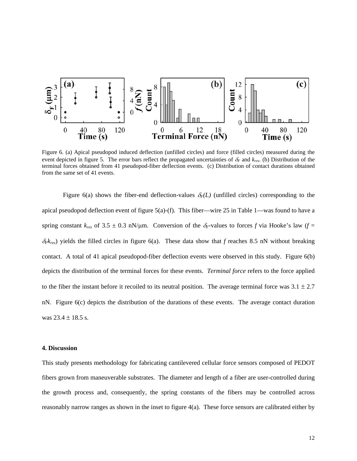

Figure 6. (a) Apical pseudopod induced deflection (unfilled circles) and force (filled circles) measured during the event depicted in figure 5. The error bars reflect the propagated uncertainties of  $\delta_F$  and  $k_{res}$ . (b) Distribution of the terminal forces obtained from 41 pseudopod-fiber deflection events. (c) Distribution of contact durations obtained from the same set of 41 events.

Figure 6(a) shows the fiber-end deflection-values  $\delta_F(L)$  (unfilled circles) corresponding to the apical pseudopod deflection event of figure  $5(a)$ -(f). This fiber—wire 25 in Table 1—was found to have a spring constant  $k_{res}$  of 3.5  $\pm$  0.3 nN/ $\mu$ m. Conversion of the  $\delta_F$ -values to forces f via Hooke's law (f =  $\delta_{rk_{res}}$ ) yields the filled circles in figure 6(a). These data show that *f* reaches 8.5 nN without breaking contact. A total of 41 apical pseudopod-fiber deflection events were observed in this study. Figure 6(b) depicts the distribution of the terminal forces for these events. *Terminal force* refers to the force applied to the fiber the instant before it recoiled to its neutral position. The average terminal force was  $3.1 \pm 2.7$ nN. Figure 6(c) depicts the distribution of the durations of these events. The average contact duration was  $23.4 \pm 18.5$  s.

#### **4. Discussion**

This study presents methodology for fabricating cantilevered cellular force sensors composed of PEDOT fibers grown from maneuverable substrates. The diameter and length of a fiber are user-controlled during the growth process and, consequently, the spring constants of the fibers may be controlled across reasonably narrow ranges as shown in the inset to figure 4(a). These force sensors are calibrated either by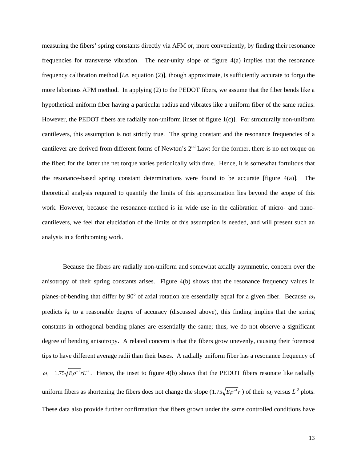measuring the fibers' spring constants directly via AFM or, more conveniently, by finding their resonance frequencies for transverse vibration. The near-unity slope of figure 4(a) implies that the resonance frequency calibration method [*i.e.* equation (2)], though approximate, is sufficiently accurate to forgo the more laborious AFM method. In applying (2) to the PEDOT fibers, we assume that the fiber bends like a hypothetical uniform fiber having a particular radius and vibrates like a uniform fiber of the same radius. However, the PEDOT fibers are radially non-uniform [inset of figure 1(c)]. For structurally non-uniform cantilevers, this assumption is not strictly true. The spring constant and the resonance frequencies of a cantilever are derived from different forms of Newton's  $2<sup>nd</sup>$  Law: for the former, there is no net torque on the fiber; for the latter the net torque varies periodically with time. Hence, it is somewhat fortuitous that the resonance-based spring constant determinations were found to be accurate [figure  $4(a)$ ]. The theoretical analysis required to quantify the limits of this approximation lies beyond the scope of this work. However, because the resonance-method is in wide use in the calibration of micro- and nanocantilevers, we feel that elucidation of the limits of this assumption is needed, and will present such an analysis in a forthcoming work.

Because the fibers are radially non-uniform and somewhat axially asymmetric, concern over the anisotropy of their spring constants arises. Figure 4(b) shows that the resonance frequency values in planes-of-bending that differ by 90 $^{\circ}$  of axial rotation are essentially equal for a given fiber. Because  $\omega_0$ predicts  $k_F$  to a reasonable degree of accuracy (discussed above), this finding implies that the spring constants in orthogonal bending planes are essentially the same; thus, we do not observe a significant degree of bending anisotropy. A related concern is that the fibers grow unevenly, causing their foremost tips to have different average radii than their bases. A radially uniform fiber has a resonance frequency of  $\omega_0 = 1.75 \sqrt{E\rho^{-1} rL^2}$ . Hence, the inset to figure 4(b) shows that the PEDOT fibers resonate like radially uniform fibers as shortening the fibers does not change the slope  $(1.75\sqrt{E\rho^{-1}}r)$  of their  $\omega_0$  versus  $L^2$  plots. These data also provide further confirmation that fibers grown under the same controlled conditions have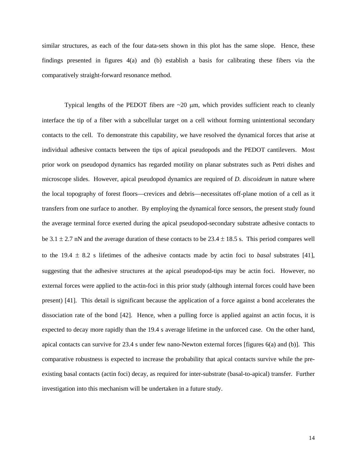similar structures, as each of the four data-sets shown in this plot has the same slope. Hence, these findings presented in figures 4(a) and (b) establish a basis for calibrating these fibers via the comparatively straight-forward resonance method.

Typical lengths of the PEDOT fibers are  $\sim$  20  $\mu$ m, which provides sufficient reach to cleanly interface the tip of a fiber with a subcellular target on a cell without forming unintentional secondary contacts to the cell. To demonstrate this capability, we have resolved the dynamical forces that arise at individual adhesive contacts between the tips of apical pseudopods and the PEDOT cantilevers. Most prior work on pseudopod dynamics has regarded motility on planar substrates such as Petri dishes and microscope slides. However, apical pseudopod dynamics are required of *D. discoideum* in nature where the local topography of forest floors—crevices and debris—necessitates off-plane motion of a cell as it transfers from one surface to another. By employing the dynamical force sensors, the present study found the average terminal force exerted during the apical pseudopod-secondary substrate adhesive contacts to be 3.1  $\pm$  2.7 nN and the average duration of these contacts to be 23.4  $\pm$  18.5 s. This period compares well to the  $19.4 \pm 8.2$  s lifetimes of the adhesive contacts made by actin foci to *basal* substrates [41], suggesting that the adhesive structures at the apical pseudopod-tips may be actin foci. However, no external forces were applied to the actin-foci in this prior study (although internal forces could have been present) [41]. This detail is significant because the application of a force against a bond accelerates the dissociation rate of the bond [42]. Hence, when a pulling force is applied against an actin focus, it is expected to decay more rapidly than the 19.4 s average lifetime in the unforced case. On the other hand, apical contacts can survive for 23.4 s under few nano-Newton external forces [figures 6(a) and (b)]. This comparative robustness is expected to increase the probability that apical contacts survive while the preexisting basal contacts (actin foci) decay, as required for inter-substrate (basal-to-apical) transfer. Further investigation into this mechanism will be undertaken in a future study.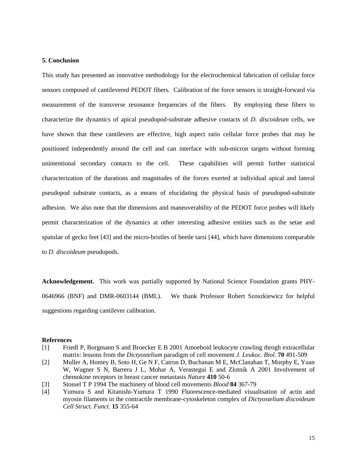#### **5. Conclusion**

This study has presented an innovative methodology for the electrochemical fabrication of cellular force sensors composed of cantilevered PEDOT fibers. Calibration of the force sensors is straight-forward via measurement of the transverse resonance frequencies of the fibers. By employing these fibers to characterize the dynamics of apical pseudopod-substrate adhesive contacts of *D. discoideum* cells, we have shown that these cantilevers are effective, high aspect ratio cellular force probes that may be positioned independently around the cell and can interface with sub-micron targets without forming unintentional secondary contacts to the cell. These capabilities will permit further statistical characterization of the durations and magnitudes of the forces exerted at individual apical and lateral pseudopod substrate contacts, as a means of elucidating the physical basis of pseudopod-substrate adhesion. We also note that the dimensions and maneuverability of the PEDOT force probes will likely permit characterization of the dynamics at other interesting adhesive entities such as the setae and spatulae of gecko feet [43] and the micro-bristles of beetle tarsi [44], which have dimensions comparable to *D. discoideum* pseudopods.

**Acknowledgement.** This work was partially supported by National Science Foundation grants PHY-0646966 (BNF) and DMR-0603144 (BML). We thank Professor Robert Szoszkiewicz for helpful suggestions regarding cantilever calibration.

#### **References**

- [1] Friedl P, Borgmann S and Broecker E B 2001 Amoeboid leukocyte crawling throgh extracellular matrix: lessons from the *Dictyostelium* paradigm of cell movement *J. Leukoc. Biol.* **70** 491-509
- [2] Muller A, Homey B, Soto H, Ge N F, Catron D, Buchanan M E, McClanahan T, Murphy E, Yuan W, Wagner S N, Barrera J L, Mohar A, Verastegui E and Zlotnik A 2001 Involvement of chemokine receptors in breast cancer metastasis *Nature* **410** 50-6
- [3] Stossel T P 1994 The machinery of blood cell movements *Blood* **84** 367-79
- [4] Yumura S and Kitanishi-Yumura T 1990 Fluorescence-mediated visualisation of actin and myosin filaments in the contractile membrane-cytoskeleton complex of *Dictyostelium discoideum Cell Struct. Funct.* **15** 355-64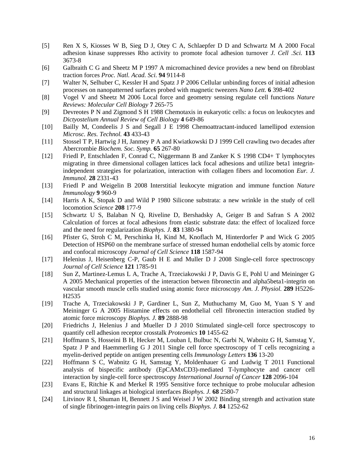- [5] Ren X S, Kiosses W B, Sieg D J, Otey C A, Schlaepfer D D and Schwartz M A 2000 Focal adhesion kinase suppresses Rho activity to promote focal adhesion turnover *J. Cell .Sci.* **113** 3673-8
- [6] Galbraith C G and Sheetz M P 1997 A micromachined device provides a new bend on fibroblast traction forces *Proc. Natl. Acad. Sci.* **94** 9114-8
- [7] Walter N, Selhuber C, Kessler H and Spatz J P 2006 Cellular unbinding forces of initial adhesion processes on nanopatterned surfaces probed with magnetic tweezers *Nano Lett.* **6** 398-402
- [8] Vogel V and Sheetz M 2006 Local force and geometry sensing regulate cell functions *Nature Reviews: Molecular Cell Biology* **7** 265-75
- [9] Devreotes P N and Zigmond S H 1988 Chemotaxis in eukaryotic cells: a focus on leukocytes and *Dictyostelium Annual Review of Cell Biology* **4** 649-86
- [10] Bailly M, Condeelis J S and Segall J E 1998 Chemoattractant-induced lamellipod extension *Microsc. Res. Technol.* **43** 433-43
- [11] Stossel T P, Hartwig J H, Janmey P A and Kwiatkowski D J 1999 Cell crawling two decades after Abercrombie *Biochem. Soc. Symp.* **65** 267-80
- [12] Friedl P, Entschladen F, Conrad C, Niggermann B and Zanker K S 1998 CD4+ T lymphocytes migrating in three dimensional collagen lattices lack focal adhesions and utilize beta1 integrinindependent strategies for polarization, interaction with collagen fibers and locomotion *Eur. J. Immunol.* **28** 2331-43
- [13] Friedl P and Weigelin B 2008 Interstitial leukocyte migration and immune function *Nature Immunology* **9** 960-9
- [14] Harris A K, Stopak D and Wild P 1980 Silicone substrata: a new wrinkle in the study of cell locomotion *Science* **208** 177-9
- [15] Schwartz U S, Balaban N Q, Riveline D, Bershadsky A, Geiger B and Safran S A 2002 Calculation of forces at focal adhesions from elastic substrate data: the effect of localized force and the need for regularization *Biophys. J.* **83** 1380-94
- [16] Pfister G, Stroh C M, Perschinka H, Kind M, Knoflach M, Hinterdorfer P and Wick G 2005 Detection of HSP60 on the membrane surface of stressed human endothelial cells by atomic force and confocal microscopy *Journal of Cell Science* **118** 1587-94
- [17] Helenius J, Heisenberg C-P, Gaub H E and Muller D J 2008 Single-cell force spectroscopy *Journal of Cell Science* **121** 1785-91
- [18] Sun Z, Martinez-Lemus L A, Trache A, Trzeciakowski J P, Davis G E, Pohl U and Meininger G A 2005 Mechanical properties of the interaction betwen fibronectin and alpha5beta1-integrin on vascular smooth muscle cells studied using atomic force microscopy *Am. J. Physiol.* **289** H5226- H2535
- [19] Trache A, Trzeciakowski J P, Gardiner L, Sun Z, Muthuchamy M, Guo M, Yuan S Y and Meininger G A 2005 Histamine effects on endothelial cell fibronectin interaction studied by atomic force microscopy *Biophys. J.* **89** 2888-98
- [20] Friedrichs J, Helenius J and Mueller D J 2010 Stimulated single-cell force spectroscopy to quantify cell adhesion receptor crosstalk *Proteomics* **10** 1455-62
- [21] Hoffmann S, Hosseini B H, Hecker M, Louban I, Bulbuc N, Garbi N, Wabnitz G H, Samstag Y, Spatz J P and Haemmerling G J 2011 Single cell force spectroscopy of T cells recognizing a myelin-derived peptide on antigen presenting cells *Immunology Letters* **136** 13-20
- [22] Hoffmann S C, Wabnitz G H, Samstag Y, Moldenhauer G and Ludwig T 2011 Functional analysis of bispecific antibody (EpCAMxCD3)-mediated T-lymphocyte and cancer cell interaction by single-cell force spectroscopy *International Journal of Cancer* **128** 2096-104
- [23] Evans E, Ritchie K and Merkel R 1995 Sensitive force technique to probe molucular adhesion and structural linkages at biological interfaces *Biophys. J.* **68** 2580-7
- [24] Litvinov R I, Shuman H, Bennett J S and Weisel J W 2002 Binding strength and activation state of single fibrinogen-integrin pairs on living cells *Biophys. J.* **84** 1252-62